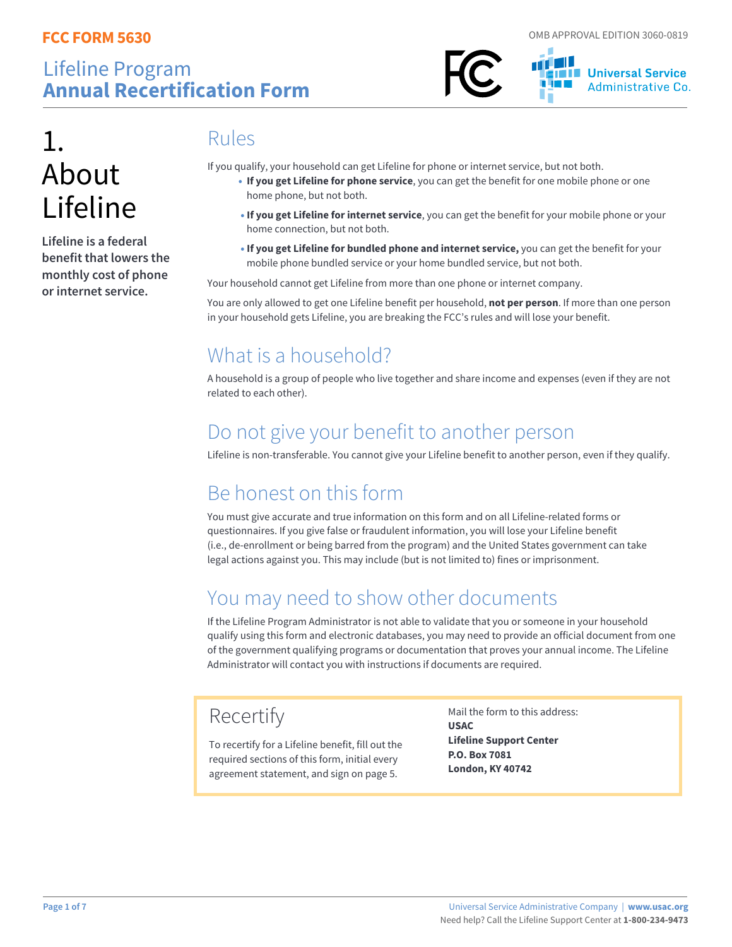



# 1. About Lifeline

**Lifeline is a federal benefit that lowers the monthly cost of phone or internet service.** 

### Rules

If you qualify, your household can get Lifeline for phone or internet service, but not both.

- **If you get Lifeline for phone service**, you can get the benefit for one mobile phone or one home phone, but not both.
- **If you get Lifeline for internet service**, you can get the benefit for your mobile phone or your home connection, but not both.
- **If you get Lifeline for bundled phone and internet service,** you can get the benefit for your mobile phone bundled service or your home bundled service, but not both.

Your household cannot get Lifeline from more than one phone or internet company.

You are only allowed to get one Lifeline benefit per household, **not per person**. If more than one person in your household gets Lifeline, you are breaking the FCC's rules and will lose your benefit.

# What is a household?

A household is a group of people who live together and share income and expenses (even if they are not related to each other).

## Do not give your benefit to another person

Lifeline is non-transferable. You cannot give your Lifeline benefit to another person, even if they qualify.

# Be honest on this form

You must give accurate and true information on this form and on all Lifeline-related forms or questionnaires. If you give false or fraudulent information, you will lose your Lifeline benefit (i.e., de-enrollment or being barred from the program) and the United States government can take legal actions against you. This may include (but is not limited to) fines or imprisonment.

# You may need to show other documents

If the Lifeline Program Administrator is not able to validate that you or someone in your household qualify using this form and electronic databases, you may need to provide an official document from one of the government qualifying programs or documentation that proves your annual income. The Lifeline Administrator will contact you with instructions if documents are required.

# Recertify

To recertify for a Lifeline benefit, fill out the required sections of this form, initial every agreement statement, and sign on page 5.

Mail the form to this address: **USAC Lifeline Support Center P.O. Box 7081 London, KY 40742**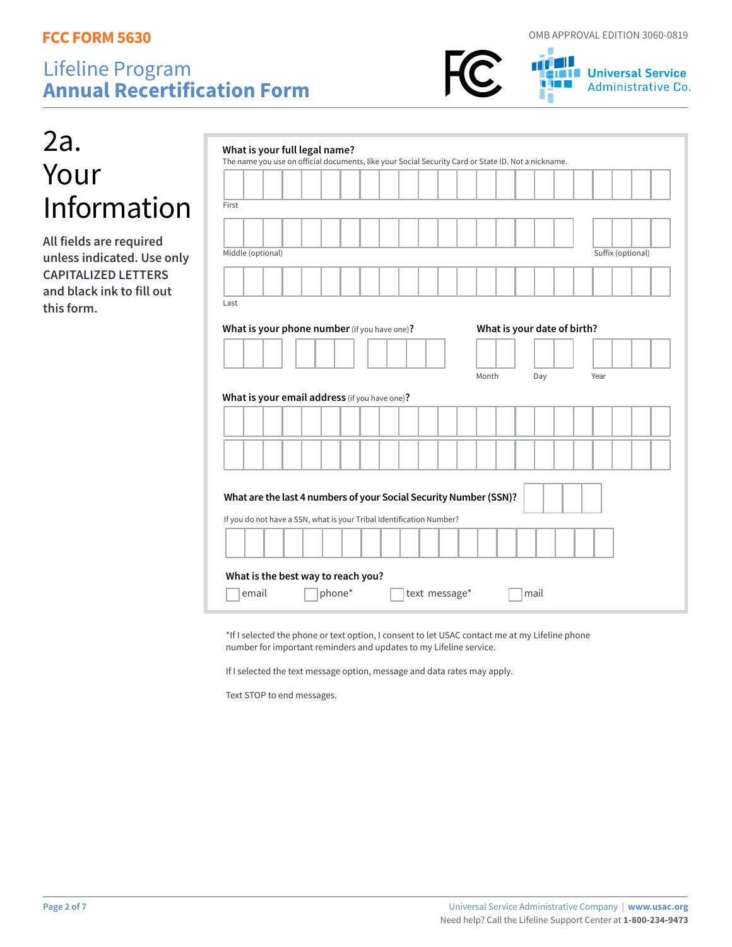

**THE Universal Service** Administrative Co.

| 2a.         |
|-------------|
| Your        |
| Information |

**All fields are required unless indicated. Use only CAPITALIZED LETTERS and black ink to fill out this form.**

| The name you use on official documents, like your Social Security Card or State ID. Not a nickname.                                                                                        | What is your full legal name? |  |  |  |                             |  |     |  |      |                   |  |
|--------------------------------------------------------------------------------------------------------------------------------------------------------------------------------------------|-------------------------------|--|--|--|-----------------------------|--|-----|--|------|-------------------|--|
|                                                                                                                                                                                            |                               |  |  |  |                             |  |     |  |      |                   |  |
| First                                                                                                                                                                                      |                               |  |  |  |                             |  |     |  |      |                   |  |
|                                                                                                                                                                                            |                               |  |  |  |                             |  |     |  |      |                   |  |
| Middle (optional)                                                                                                                                                                          |                               |  |  |  |                             |  |     |  |      | Suffix (optional) |  |
|                                                                                                                                                                                            |                               |  |  |  |                             |  |     |  |      |                   |  |
|                                                                                                                                                                                            |                               |  |  |  |                             |  |     |  |      |                   |  |
| Last                                                                                                                                                                                       |                               |  |  |  |                             |  |     |  |      |                   |  |
| What is your phone number (if you have one)?                                                                                                                                               |                               |  |  |  | What is your date of birth? |  |     |  |      |                   |  |
|                                                                                                                                                                                            |                               |  |  |  |                             |  |     |  |      |                   |  |
|                                                                                                                                                                                            |                               |  |  |  |                             |  |     |  |      |                   |  |
|                                                                                                                                                                                            |                               |  |  |  | Month                       |  | Day |  | Year |                   |  |
|                                                                                                                                                                                            |                               |  |  |  |                             |  |     |  |      |                   |  |
|                                                                                                                                                                                            |                               |  |  |  |                             |  |     |  |      |                   |  |
|                                                                                                                                                                                            |                               |  |  |  |                             |  |     |  |      |                   |  |
|                                                                                                                                                                                            |                               |  |  |  |                             |  |     |  |      |                   |  |
|                                                                                                                                                                                            |                               |  |  |  |                             |  |     |  |      |                   |  |
|                                                                                                                                                                                            |                               |  |  |  |                             |  |     |  |      |                   |  |
| What is your email address (if you have one)?<br>What are the last 4 numbers of your Social Security Number (SSN)?<br>If you do not have a SSN, what is your Tribal Identification Number? |                               |  |  |  |                             |  |     |  |      |                   |  |
| What is the best way to reach you?                                                                                                                                                         |                               |  |  |  |                             |  |     |  |      |                   |  |

\*If I selected the phone or text option, I consent to let USAC contact me at my Lifeline phone number for important reminders and updates to my Lifeline service.

If I selected the text message option, message and data rates may apply.

Text STOP to end messages.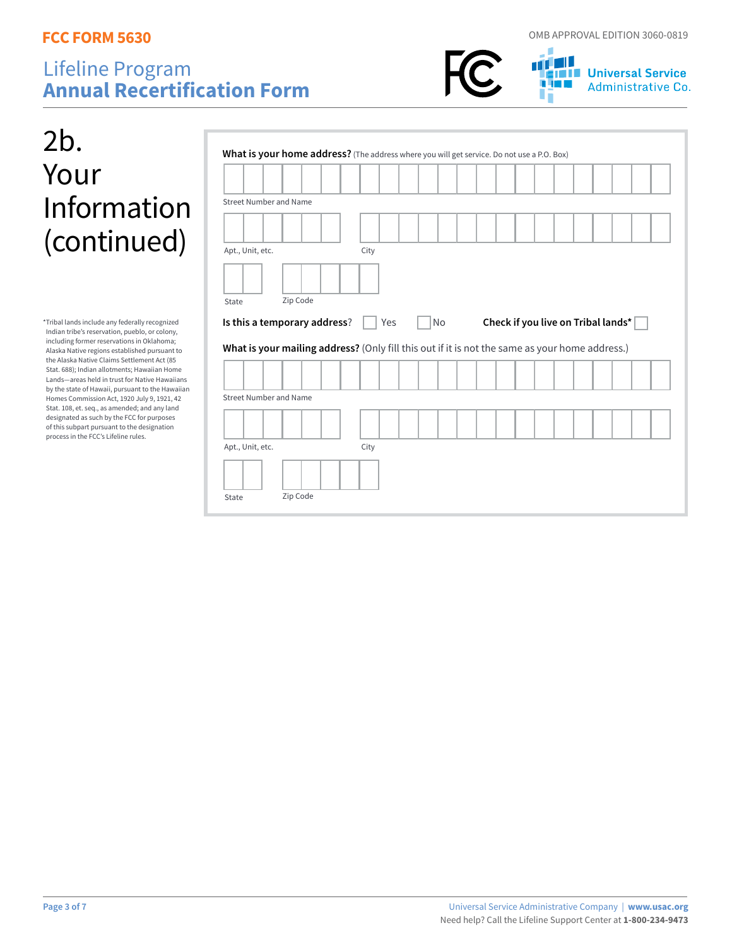



**THE Universal Service** Administrative Co.

# 2b. Your Information (continued)

\*Tribal lands include any federally recognized Indian tribe's reservation, pueblo, or colony, including former reservations in Oklahoma; Alaska Native regions established pursuant to the Alaska Native Claims Settlement Act (85 Stat. 688); Indian allotments; Hawaiian Home Lands—areas held in trust for Native Hawaiians by the state of Hawaii, pursuant to the Hawaiian Homes Commission Act, 1920 July 9, 1921, 42 Stat. 108, et. seq., as amended; and any land designated as such by the FCC for purposes of this subpart pursuant to the designation process in the FCC's Lifeline rules.

| What is your home address? (The address where you will get service. Do not use a P.O. Box)     |          |      |     |  |           |  |                                    |  |  |  |  |
|------------------------------------------------------------------------------------------------|----------|------|-----|--|-----------|--|------------------------------------|--|--|--|--|
|                                                                                                |          |      |     |  |           |  |                                    |  |  |  |  |
| <b>Street Number and Name</b>                                                                  |          |      |     |  |           |  |                                    |  |  |  |  |
|                                                                                                |          |      |     |  |           |  |                                    |  |  |  |  |
|                                                                                                |          |      |     |  |           |  |                                    |  |  |  |  |
| Apt., Unit, etc.                                                                               |          | City |     |  |           |  |                                    |  |  |  |  |
|                                                                                                |          |      |     |  |           |  |                                    |  |  |  |  |
|                                                                                                | Zip Code |      |     |  |           |  |                                    |  |  |  |  |
| State                                                                                          |          |      |     |  |           |  |                                    |  |  |  |  |
|                                                                                                |          |      |     |  |           |  |                                    |  |  |  |  |
| Is this a temporary address?                                                                   |          |      | Yes |  | <b>No</b> |  | Check if you live on Tribal lands* |  |  |  |  |
| What is your mailing address? (Only fill this out if it is not the same as your home address.) |          |      |     |  |           |  |                                    |  |  |  |  |
|                                                                                                |          |      |     |  |           |  |                                    |  |  |  |  |
|                                                                                                |          |      |     |  |           |  |                                    |  |  |  |  |
| <b>Street Number and Name</b>                                                                  |          |      |     |  |           |  |                                    |  |  |  |  |
|                                                                                                |          |      |     |  |           |  |                                    |  |  |  |  |
|                                                                                                |          |      |     |  |           |  |                                    |  |  |  |  |
| Apt., Unit, etc.                                                                               |          | City |     |  |           |  |                                    |  |  |  |  |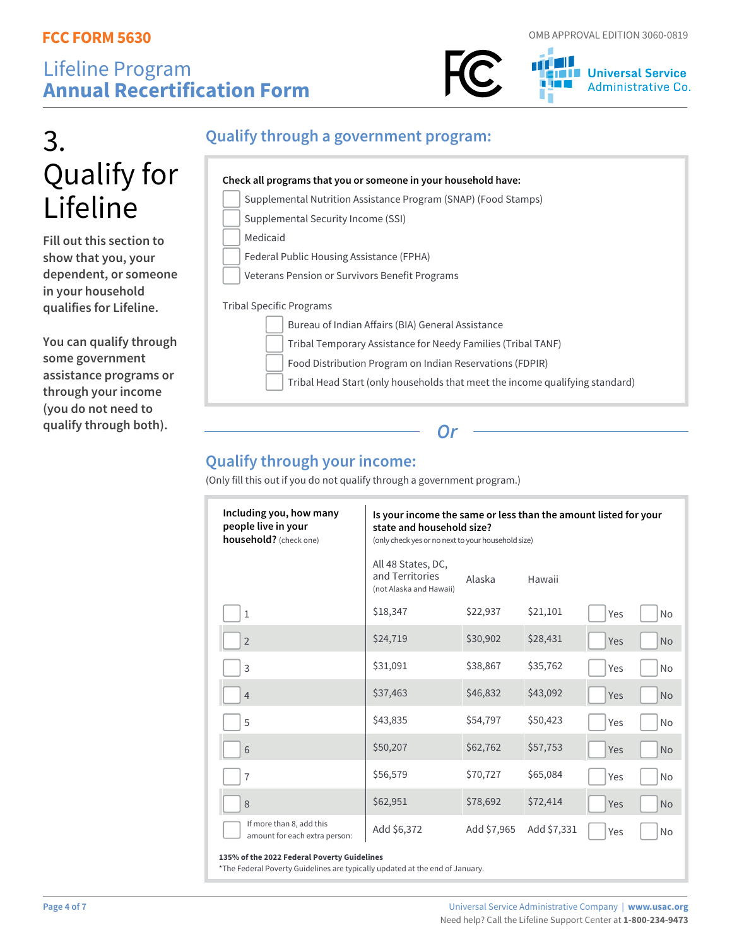



# 3. Qualify for Lifeline

**Fill out this section to show that you, your dependent, or someone in your household qualifies for Lifeline.** 

**You can qualify through some government assistance programs or through your income (you do not need to qualify through both).**

#### **Qualify through a government program:**

#### **Check all programs that you or someone in your household have:** Supplemental Nutrition Assistance Program (SNAP) (Food Stamps) Supplemental Security Income (SSI) Medicaid Federal Public Housing Assistance (FPHA) Veterans Pension or Survivors Benefit Programs Tribal Specific Programs Bureau of Indian Affairs (BIA) General Assistance Tribal Temporary Assistance for Needy Families (Tribal TANF) Food Distribution Program on Indian Reservations (FDPIR) Tribal Head Start (only households that meet the income qualifying standard)

*Or*

### **Qualify through your income:**

(Only fill this out if you do not qualify through a government program.)

| Including you, how many<br>people live in your<br>household? (check one) | Is your income the same or less than the amount listed for your<br>state and household size?<br>(only check yes or no next to your household size) |             |             |     |           |  |  |
|--------------------------------------------------------------------------|----------------------------------------------------------------------------------------------------------------------------------------------------|-------------|-------------|-----|-----------|--|--|
|                                                                          | All 48 States, DC,<br>and Territories<br>(not Alaska and Hawaii)                                                                                   | Alaska      | Hawaii      |     |           |  |  |
| $\mathbf{1}$                                                             | \$18,347                                                                                                                                           | \$22,937    | \$21,101    | Yes | <b>No</b> |  |  |
| $\overline{2}$                                                           | \$24,719                                                                                                                                           | \$30,902    | \$28,431    | Yes | <b>No</b> |  |  |
| 3                                                                        | \$31,091                                                                                                                                           | \$38,867    | \$35,762    | Yes | <b>No</b> |  |  |
| $\overline{4}$                                                           | \$37,463                                                                                                                                           | \$46,832    | \$43,092    | Yes | <b>No</b> |  |  |
| 5                                                                        | \$43,835                                                                                                                                           | \$54,797    | \$50,423    | Yes | <b>No</b> |  |  |
| 6                                                                        | \$50,207                                                                                                                                           | \$62,762    | \$57,753    | Yes | <b>No</b> |  |  |
| $\overline{7}$                                                           | \$56,579                                                                                                                                           | \$70,727    | \$65,084    | Yes | <b>No</b> |  |  |
| 8                                                                        | \$62,951                                                                                                                                           | \$78,692    | \$72,414    | Yes | <b>No</b> |  |  |
| If more than 8, add this<br>amount for each extra person:                | Add \$6,372                                                                                                                                        | Add \$7,965 | Add \$7,331 | Yes | <b>No</b> |  |  |

#### **135% of the 2022 Federal Poverty Guidelines**

\*The Federal Poverty Guidelines are typically updated at the end of January.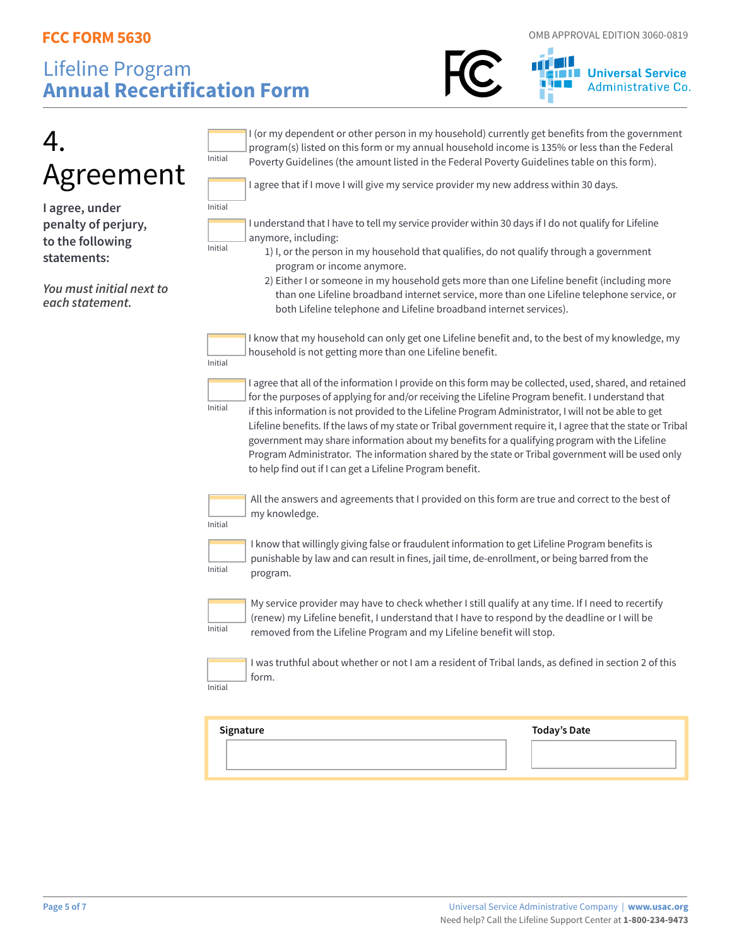

| Agreement<br>I agree, under<br>penalty of perjury,<br>to the following<br>statements: | I (or my dependent or other person in my household) currently get benefits from the government<br>program(s) listed on this form or my annual household income is 135% or less than the Federal<br>Initial<br>Poverty Guidelines (the amount listed in the Federal Poverty Guidelines table on this form).<br>I agree that if I move I will give my service provider my new address within 30 days.<br>Initial<br>I understand that I have to tell my service provider within 30 days if I do not qualify for Lifeline<br>anymore, including:<br>Initial<br>1) I, or the person in my household that qualifies, do not qualify through a government<br>program or income anymore.                                             |
|---------------------------------------------------------------------------------------|-------------------------------------------------------------------------------------------------------------------------------------------------------------------------------------------------------------------------------------------------------------------------------------------------------------------------------------------------------------------------------------------------------------------------------------------------------------------------------------------------------------------------------------------------------------------------------------------------------------------------------------------------------------------------------------------------------------------------------|
| You must initial next to<br>each statement.                                           | 2) Either I or someone in my household gets more than one Lifeline benefit (including more<br>than one Lifeline broadband internet service, more than one Lifeline telephone service, or<br>both Lifeline telephone and Lifeline broadband internet services).<br>I know that my household can only get one Lifeline benefit and, to the best of my knowledge, my<br>household is not getting more than one Lifeline benefit.                                                                                                                                                                                                                                                                                                 |
|                                                                                       | Initial<br>I agree that all of the information I provide on this form may be collected, used, shared, and retained<br>for the purposes of applying for and/or receiving the Lifeline Program benefit. I understand that<br>Initial<br>if this information is not provided to the Lifeline Program Administrator, I will not be able to get<br>Lifeline benefits. If the laws of my state or Tribal government require it, I agree that the state or Tribal<br>government may share information about my benefits for a qualifying program with the Lifeline<br>Program Administrator. The information shared by the state or Tribal government will be used only<br>to help find out if I can get a Lifeline Program benefit. |
|                                                                                       | All the answers and agreements that I provided on this form are true and correct to the best of<br>my knowledge.<br>Initial                                                                                                                                                                                                                                                                                                                                                                                                                                                                                                                                                                                                   |
|                                                                                       | I know that willingly giving false or fraudulent information to get Lifeline Program benefits is<br>punishable by law and can result in fines, jail time, de-enrollment, or being barred from the<br>Initial<br>program.                                                                                                                                                                                                                                                                                                                                                                                                                                                                                                      |
|                                                                                       | My service provider may have to check whether I still qualify at any time. If I need to recertify<br>(renew) my Lifeline benefit, I understand that I have to respond by the deadline or I will be<br>Initial<br>removed from the Lifeline Program and my Lifeline benefit will stop.                                                                                                                                                                                                                                                                                                                                                                                                                                         |
|                                                                                       | I was truthful about whether or not I am a resident of Tribal lands, as defined in section 2 of this<br>form.<br>Initial                                                                                                                                                                                                                                                                                                                                                                                                                                                                                                                                                                                                      |
|                                                                                       | Signature<br><b>Today's Date</b>                                                                                                                                                                                                                                                                                                                                                                                                                                                                                                                                                                                                                                                                                              |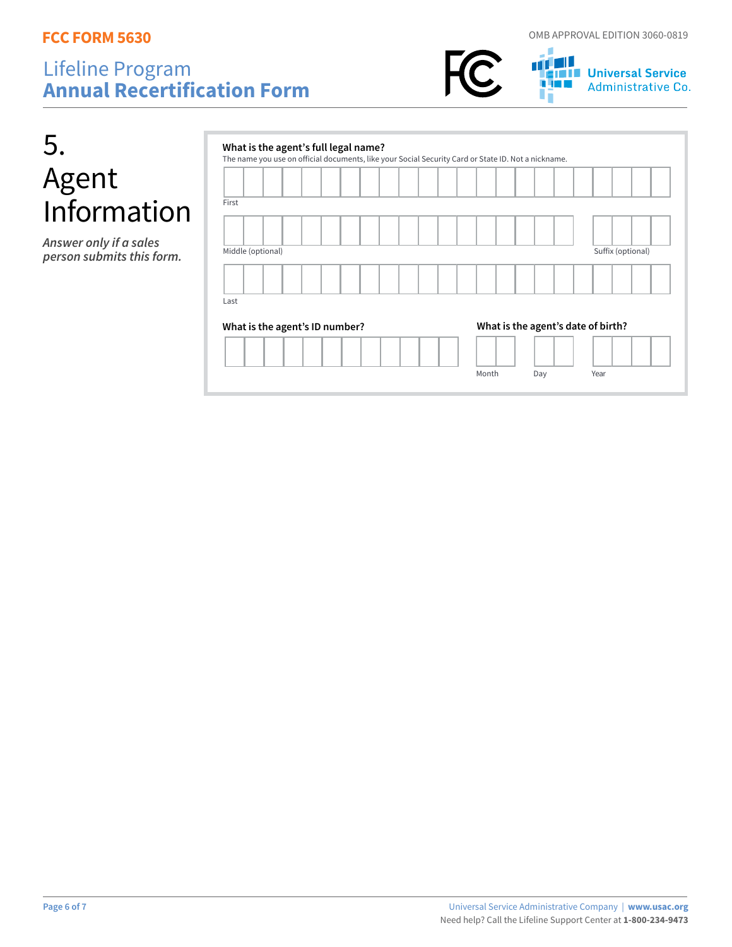5.

### Lifeline Program **Annual Recertification Form**





**THE Universal Service**<br>**THE Universal Service**<br> **THE Administrative Co.** Administrative Co.

| <u>5</u>                                            | What is the agent's full legal name?<br>The name you use on official documents, like your Social Security Card or State ID. Not a nickname. |                   |
|-----------------------------------------------------|---------------------------------------------------------------------------------------------------------------------------------------------|-------------------|
| Agent<br>Information                                | First                                                                                                                                       |                   |
|                                                     |                                                                                                                                             |                   |
| Answer only if a sales<br>person submits this form. | Middle (optional)<br>Last                                                                                                                   | Suffix (optional) |
|                                                     | What is the agent's date of birth?<br>What is the agent's ID number?                                                                        |                   |
|                                                     | Month<br>Day                                                                                                                                | Year              |